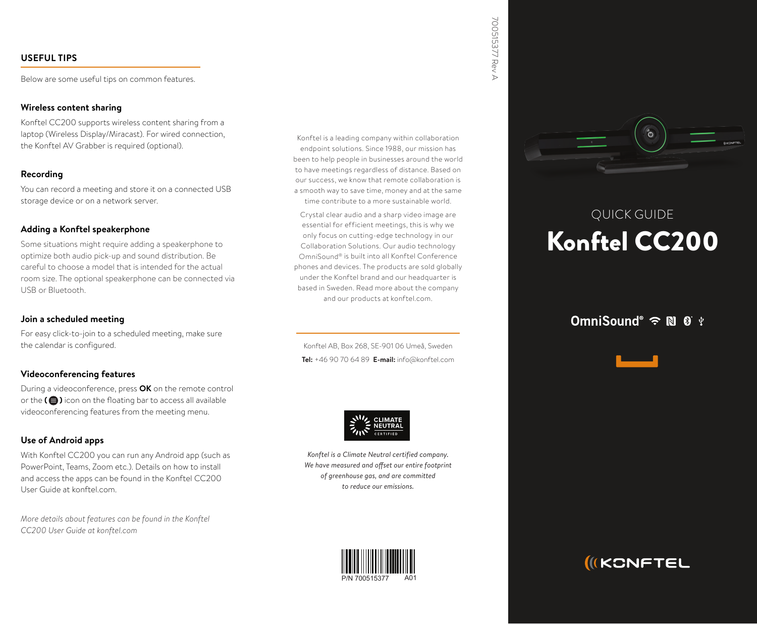## **USEFUL TIPS**

Below are some useful tips on common features.

### **sharing content Wireless**

Konftel CC200 supports wireless content sharing from a laptop (Wireless Display/Miracast). For wired connection, the Konftel AV Grabber is required (optional).

## **Recording**

You can record a meeting and store it on a connected USB storage device or on a network server.

## **Adding a Konftel speakerphone**

Some situations might require adding a speakerphone to optimize both audio pick-up and sound distribution. Be careful to choose a model that is intended for the actual room size. The optional speakerphone can be connected via USB or Bluetooth.

## **Join a scheduled meeting**

For easy click-to-join to a scheduled meeting, make sure the calendar is configured.

## **Videoconferencing features**

During a videoconference, press OK on the remote control ar the  $\left( \bigoplus \right)$  icon on the floating bar to access all available videoconferencing features from the meeting menu.

## **Use of Android apps**

With Konftel CC200 you can run any Android app (such as PowerPoint, Teams, Zoom etc.). Details on how to install and access the apps can be found in the Konftel CC200 User Guide at konftel com.

*More details about features can be found in the Konftel cC200* User Guide at konftel.com

Konftel is a leading company within collaboration endpoint solutions. Since 1988, our mission has been to help people in businesses around the world to have meetings regardless of distance. Based on our success, we know that remote collaboration is a smooth way to save time, money and at the same time contribute to a more sustainable world.

Crystal clear audio and a sharp video image are essential for efficient meetings, this is why we only focus on cutting-edge technology in our Collaboration Solutions Our audio technology OmniSound® is built into all Konftel Conference phones and devices. The products are sold globally under the Konftel brand and our headquarter is based in Sweden. Read more about the company and our products at konftel.com.

Konftel AB, Box 268, SF-901 06 Umeå, Sweden **Tel:**  $+4690706489$  **E-mail:** info@konftel.com



Konftel is a Climate Neutral certified company. We have measured and offset our entire footprint  $of$  greenhouse gas, and are committed *to reduce our emissions.* 





# QUICK GUIDE Konftel CC200

## OmniSound®  $\widehat{\mathbb{R}}$  N  $\widehat{\mathbb{S}}$  \*